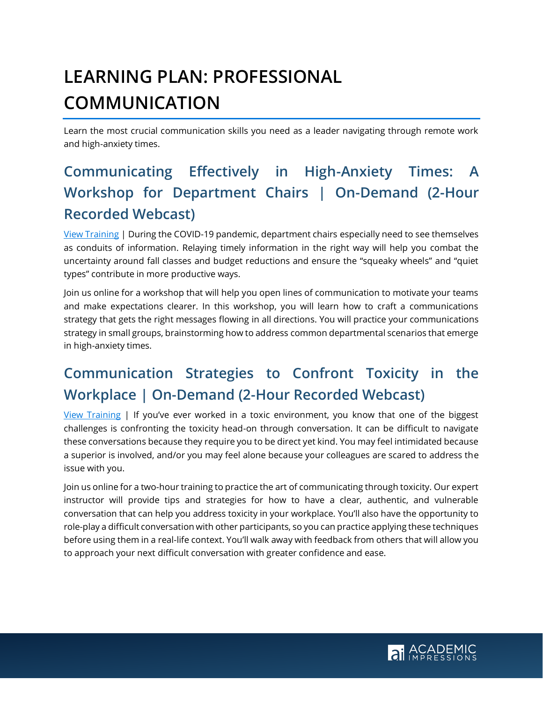# **LEARNING PLAN: PROFESSIONAL COMMUNICATION**

Learn the most crucial communication skills you need as a leader navigating through remote work and high-anxiety times.

## **Communicating Effectively in High-Anxiety Times: A Workshop for Department Chairs | On-Demand (2-Hour Recorded Webcast)**

[View Training](https://www.academicimpressions.com/communicating-effectively-in-high-anxiety-times-a-workshop-for-department-chairs/) | During the COVID-19 pandemic, department chairs especially need to see themselves as conduits of information. Relaying timely information in the right way will help you combat the uncertainty around fall classes and budget reductions and ensure the "squeaky wheels" and "quiet types" contribute in more productive ways.

Join us online for a workshop that will help you open lines of communication to motivate your teams and make expectations clearer. In this workshop, you will learn how to craft a communications strategy that gets the right messages flowing in all directions. You will practice your communications strategy in small groups, brainstorming how to address common departmental scenarios that emerge in high-anxiety times.

## **Communication Strategies to Confront Toxicity in the Workplace | On-Demand (2-Hour Recorded Webcast)**

[View Training](https://www.academicimpressions.com/communication-strategies-to-confront-toxicity-in-the-workplace/) | If you've ever worked in a toxic environment, you know that one of the biggest challenges is confronting the toxicity head-on through conversation. It can be difficult to navigate these conversations because they require you to be direct yet kind. You may feel intimidated because a superior is involved, and/or you may feel alone because your colleagues are scared to address the issue with you.

Join us online for a two-hour training to practice the art of communicating through toxicity. Our expert instructor will provide tips and strategies for how to have a clear, authentic, and vulnerable conversation that can help you address toxicity in your workplace. You'll also have the opportunity to role-play a difficult conversation with other participants, so you can practice applying these techniques before using them in a real-life context. You'll walk away with feedback from others that will allow you to approach your next difficult conversation with greater confidence and ease.

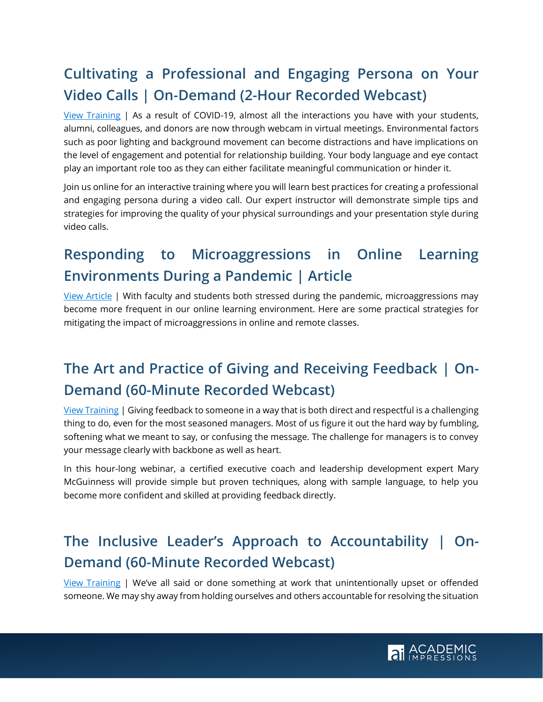## **Cultivating a Professional and Engaging Persona on Your Video Calls | On-Demand (2-Hour Recorded Webcast)**

[View Training](https://www.academicimpressions.com/cultivating-a-professional-and-engaging-persona-on-your-video-calls/) | As a result of COVID-19, almost all the interactions you have with your students, alumni, colleagues, and donors are now through webcam in virtual meetings. Environmental factors such as poor lighting and background movement can become distractions and have implications on the level of engagement and potential for relationship building. Your body language and eye contact play an important role too as they can either facilitate meaningful communication or hinder it.

Join us online for an interactive training where you will learn best practices for creating a professional and engaging persona during a video call. Our expert instructor will demonstrate simple tips and strategies for improving the quality of your physical surroundings and your presentation style during video calls.

#### **Responding to Microaggressions in Online Learning Environments During a Pandemic | Article**

[View Article](https://www.academicimpressions.com/blog/microaggressions-online-learning/) | With faculty and students both stressed during the pandemic, microaggressions may become more frequent in our online learning environment. Here are some practical strategies for mitigating the impact of microaggressions in online and remote classes.

### **The Art and Practice of Giving and Receiving Feedback | On-Demand (60-Minute Recorded Webcast)**

[View Training](https://www.academicimpressions.com/product/0518-gr-feedback-on-demand/) | Giving feedback to someone in a way that is both direct and respectful is a challenging thing to do, even for the most seasoned managers. Most of us figure it out the hard way by fumbling, softening what we meant to say, or confusing the message. The challenge for managers is to convey your message clearly with backbone as well as heart.

In this hour-long webinar, a certified executive coach and leadership development expert Mary McGuinness will provide simple but proven techniques, along with sample language, to help you become more confident and skilled at providing feedback directly.

### **The Inclusive Leader's Approach to Accountability | On-Demand (60-Minute Recorded Webcast)**

[View Training](https://www.academicimpressions.com/product/1220-inclusive-account/) | We've all said or done something at work that unintentionally upset or offended someone. We may shy away from holding ourselves and others accountable for resolving the situation